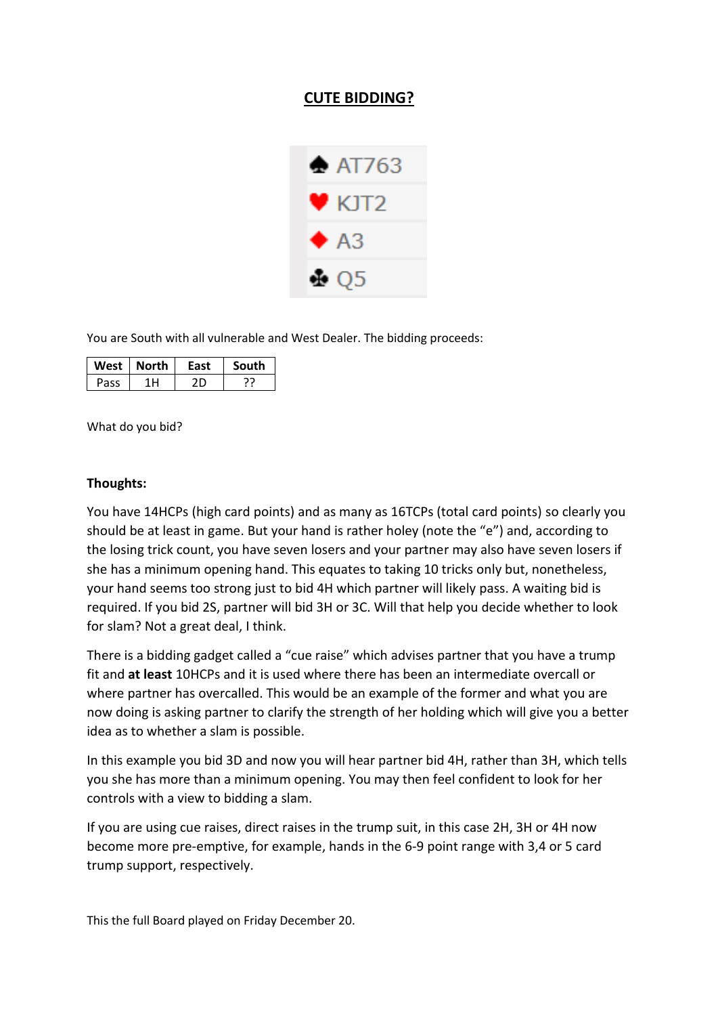## **CUTE BIDDING?**



You are South with all vulnerable and West Dealer. The bidding proceeds:

|      | West   North | Fast | <b>South</b> |
|------|--------------|------|--------------|
| Pass |              |      |              |

What do you bid?

## **Thoughts:**

You have 14HCPs (high card points) and as many as 16TCPs (total card points) so clearly you should be at least in game. But your hand is rather holey (note the "e") and, according to the losing trick count, you have seven losers and your partner may also have seven losers if she has a minimum opening hand. This equates to taking 10 tricks only but, nonetheless, your hand seems too strong just to bid 4H which partner will likely pass. A waiting bid is required. If you bid 2S, partner will bid 3H or 3C. Will that help you decide whether to look for slam? Not a great deal, I think.

There is a bidding gadget called a "cue raise" which advises partner that you have a trump fit and **at least** 10HCPs and it is used where there has been an intermediate overcall or where partner has overcalled. This would be an example of the former and what you are now doing is asking partner to clarify the strength of her holding which will give you a better idea as to whether a slam is possible.

In this example you bid 3D and now you will hear partner bid 4H, rather than 3H, which tells you she has more than a minimum opening. You may then feel confident to look for her controls with a view to bidding a slam.

If you are using cue raises, direct raises in the trump suit, in this case 2H, 3H or 4H now become more pre-emptive, for example, hands in the 6-9 point range with 3,4 or 5 card trump support, respectively.

This the full Board played on Friday December 20.